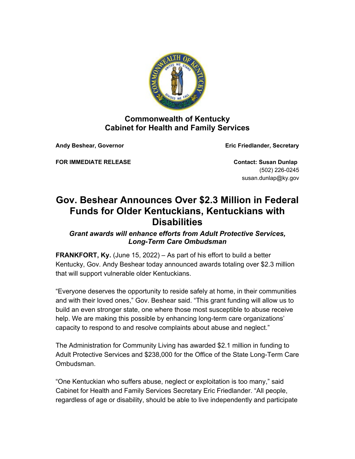

## **Commonwealth of Kentucky Cabinet for Health and Family Services**

**Andy Beshear, Governor Eric Friedlander, Secretary**

**FOR IMMEDIATE RELEASE Contact: Susan Dunlap** 

(502) 226-0245 susan.dunlap@ky.gov

## **Gov. Beshear Announces Over \$2.3 Million in Federal Funds for Older Kentuckians, Kentuckians with Disabilities**

*Grant awards will enhance efforts from Adult Protective Services, Long-Term Care Ombudsman*

**FRANKFORT, Ky.** (June 15, 2022) – As part of his effort to build a better Kentucky, Gov. Andy Beshear today announced awards totaling over \$2.3 million that will support vulnerable older Kentuckians.

"Everyone deserves the opportunity to reside safely at home, in their communities and with their loved ones," Gov. Beshear said. "This grant funding will allow us to build an even stronger state, one where those most susceptible to abuse receive help. We are making this possible by enhancing long-term care organizations' capacity to respond to and resolve complaints about abuse and neglect."

The Administration for Community Living has awarded \$2.1 million in funding to Adult Protective Services and \$238,000 for the Office of the State Long-Term Care Ombudsman.

"One Kentuckian who suffers abuse, neglect or exploitation is too many," said Cabinet for Health and Family Services Secretary Eric Friedlander. "All people, regardless of age or disability, should be able to live independently and participate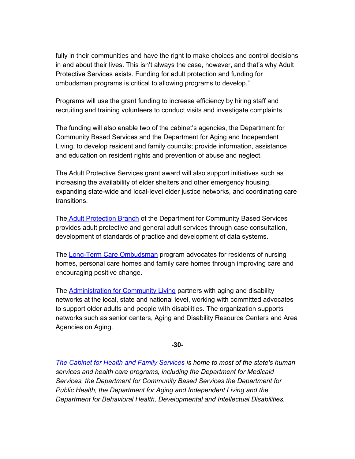fully in their communities and have the right to make choices and control decisions in and about their lives. This isn't always the case, however, and that's why Adult Protective Services exists. Funding for adult protection and funding for ombudsman programs is critical to allowing programs to develop."

Programs will use the grant funding to increase efficiency by hiring staff and recruiting and training volunteers to conduct visits and investigate complaints.

The funding will also enable two of the cabinet's agencies, the Department for Community Based Services and the Department for Aging and Independent Living, to develop resident and family councils; provide information, assistance and education on resident rights and prevention of abuse and neglect.

The Adult Protective Services grant award will also support initiatives such as increasing the availability of elder shelters and other emergency housing, expanding state-wide and local-level elder justice networks, and coordinating care transitions.

The [Adult Protection Branch](https://chfs.ky.gov/agencies/dcbs/dpp/apb/Pages/default.aspx) of the Department for Community Based Services provides adult protective and general adult services through case consultation, development of standards of practice and development of data systems.

The [Long-Term Care Ombudsman](https://chfs.ky.gov/agencies/dail/Pages/ltcomb.aspx) program advocates for residents of nursing homes, personal care homes and family care homes through improving care and encouraging positive change.

The [Administration for Community Living](https://acl.gov/) partners with aging and disability networks at the local, state and national level, working with committed advocates to support older adults and people with disabilities. The organization supports networks such as senior centers, Aging and Disability Resource Centers and Area Agencies on Aging.

**-30-**

*[The Cabinet for Health and Family Services](https://chfs.ky.gov/agencies/os/Pages/default.aspx) is home to most of the state's human services and health care programs, including the Department for Medicaid Services, the Department for Community Based Services the Department for Public Health, the Department for Aging and Independent Living and the Department for Behavioral Health, Developmental and Intellectual Disabilities.*